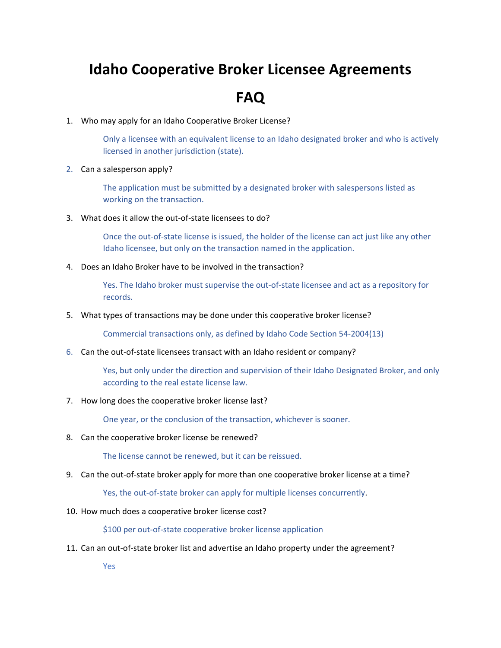## **Idaho Cooperative Broker Licensee Agreements**

## **FAQ**

1. Who may apply for an Idaho Cooperative Broker License?

Only a licensee with an equivalent license to an Idaho designated broker and who is actively licensed in another jurisdiction (state).

2. Can a salesperson apply?

The application must be submitted by a designated broker with salespersons listed as working on the transaction.

3. What does it allow the out‐of‐state licensees to do?

Once the out-of-state license is issued, the holder of the license can act just like any other Idaho licensee, but only on the transaction named in the application.

4. Does an Idaho Broker have to be involved in the transaction?

Yes. The Idaho broker must supervise the out‐of‐state licensee and act as a repository for records.

5. What types of transactions may be done under this cooperative broker license?

Commercial transactions only, as defined by Idaho Code Section 54‐2004(13)

6. Can the out‐of‐state licensees transact with an Idaho resident or company?

Yes, but only under the direction and supervision of their Idaho Designated Broker, and only according to the real estate license law.

7. How long does the cooperative broker license last?

One year, or the conclusion of the transaction, whichever is sooner.

8. Can the cooperative broker license be renewed?

The license cannot be renewed, but it can be reissued.

9. Can the out-of-state broker apply for more than one cooperative broker license at a time?

Yes, the out-of-state broker can apply for multiple licenses concurrently.

10. How much does a cooperative broker license cost?

\$100 per out-of-state cooperative broker license application

11. Can an out‐of‐state broker list and advertise an Idaho property under the agreement?

Yes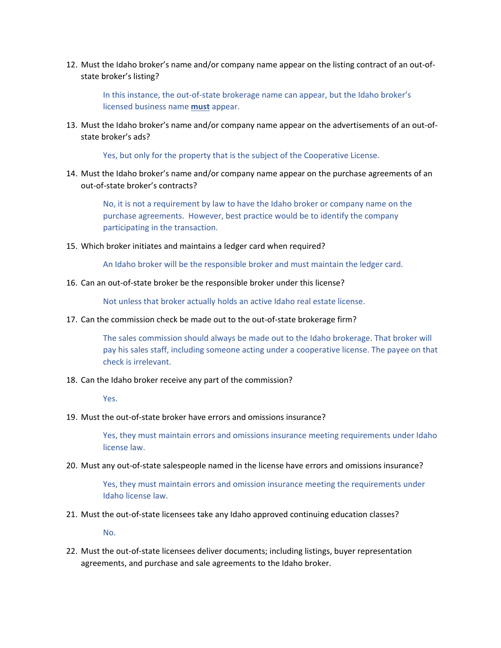12. Must the Idaho broker's name and/or company name appear on the listing contract of an out‐of‐ state broker's listing?

In this instance, the out-of-state brokerage name can appear, but the Idaho broker's licensed business name **must** appear.

13. Must the Idaho broker's name and/or company name appear on the advertisements of an out‐of‐ state broker's ads?

Yes, but only for the property that is the subject of the Cooperative License.

14. Must the Idaho broker's name and/or company name appear on the purchase agreements of an out‐of‐state broker's contracts?

No, it is not a requirement by law to have the Idaho broker or company name on the purchase agreements. However, best practice would be to identify the company participating in the transaction.

15. Which broker initiates and maintains a ledger card when required?

An Idaho broker will be the responsible broker and must maintain the ledger card.

16. Can an out-of-state broker be the responsible broker under this license?

Not unless that broker actually holds an active Idaho real estate license.

17. Can the commission check be made out to the out-of-state brokerage firm?

The sales commission should always be made out to the Idaho brokerage. That broker will pay his sales staff, including someone acting under a cooperative license. The payee on that check is irrelevant.

18. Can the Idaho broker receive any part of the commission?

Yes.

19. Must the out‐of‐state broker have errors and omissions insurance?

Yes, they must maintain errors and omissions insurance meeting requirements under Idaho license law.

20. Must any out‐of‐state salespeople named in the license have errors and omissions insurance?

Yes, they must maintain errors and omission insurance meeting the requirements under Idaho license law.

21. Must the out‐of‐state licensees take any Idaho approved continuing education classes?

No.

22. Must the out‐of‐state licensees deliver documents; including listings, buyer representation agreements, and purchase and sale agreements to the Idaho broker.